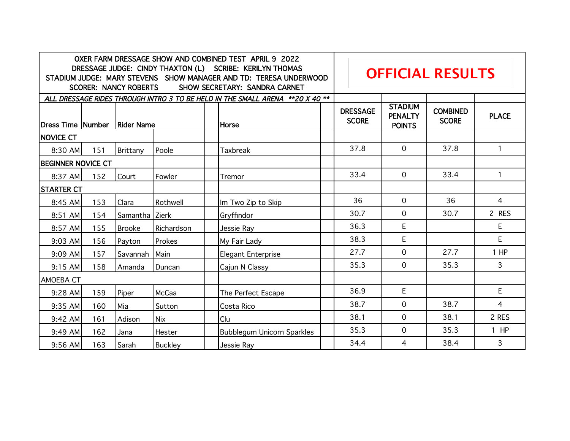| OXER FARM DRESSAGE SHOW AND COMBINED TEST APRIL 9 2022<br>DRESSAGE JUDGE: CINDY THAXTON (L) SCRIBE: KERILYN THOMAS<br>STADIUM JUDGE: MARY STEVENS SHOW MANAGER AND TD: TERESA UNDERWOOD<br><b>SCORER: NANCY ROBERTS</b><br>SHOW SECRETARY: SANDRA CARNET |     |                |                |                                   | <b>OFFICIAL RESULTS</b> |                                 |                                                   |                                 |              |
|----------------------------------------------------------------------------------------------------------------------------------------------------------------------------------------------------------------------------------------------------------|-----|----------------|----------------|-----------------------------------|-------------------------|---------------------------------|---------------------------------------------------|---------------------------------|--------------|
| ALL DRESSAGE RIDES THROUGH INTRO 3 TO BE HELD IN THE SMALL ARENA **20 X 40 **                                                                                                                                                                            |     |                |                |                                   |                         |                                 |                                                   |                                 |              |
| Dress Time Number Rider Name                                                                                                                                                                                                                             |     |                |                | Horse                             |                         | <b>DRESSAGE</b><br><b>SCORE</b> | <b>STADIUM</b><br><b>PENALTY</b><br><b>POINTS</b> | <b>COMBINED</b><br><b>SCORE</b> | <b>PLACE</b> |
| <b>NOVICE CT</b>                                                                                                                                                                                                                                         |     |                |                |                                   |                         |                                 |                                                   |                                 |              |
| 8:30 AM                                                                                                                                                                                                                                                  | 151 | Brittany       | Poole          | <b>Taxbreak</b>                   |                         | 37.8                            | $\Omega$                                          | 37.8                            | $\mathbf{1}$ |
| <b>BEGINNER NOVICE CT</b>                                                                                                                                                                                                                                |     |                |                |                                   |                         |                                 |                                                   |                                 |              |
| 8:37 AM                                                                                                                                                                                                                                                  | 152 | Court          | Fowler         | Tremor                            |                         | 33.4                            | $\mathbf 0$                                       | 33.4                            | $\mathbf{1}$ |
| <b>STARTER CT</b>                                                                                                                                                                                                                                        |     |                |                |                                   |                         |                                 |                                                   |                                 |              |
| 8:45 AM                                                                                                                                                                                                                                                  | 153 | Clara          | Rothwell       | Im Two Zip to Skip                |                         | 36                              | $\Omega$                                          | 36                              | 4            |
| 8:51 AM                                                                                                                                                                                                                                                  | 154 | Samantha Zierk |                | Gryffindor                        |                         | 30.7                            | $\Omega$                                          | 30.7                            | 2 RES        |
| 8:57 AM                                                                                                                                                                                                                                                  | 155 | <b>Brooke</b>  | Richardson     | Jessie Ray                        |                         | 36.3                            | E                                                 |                                 | E            |
| $9:03$ AM                                                                                                                                                                                                                                                | 156 | Payton         | Prokes         | My Fair Lady                      |                         | 38.3                            | E                                                 |                                 | E            |
| 9:09 AM                                                                                                                                                                                                                                                  | 157 | Savannah       | Main           | <b>Elegant Enterprise</b>         |                         | 27.7                            | $\mathbf 0$                                       | 27.7                            | $1$ HP       |
| $9:15$ AM                                                                                                                                                                                                                                                | 158 | Amanda         | Duncan         | Cajun N Classy                    |                         | 35.3                            | $\mathbf 0$                                       | 35.3                            | 3            |
| AMOEBA CT                                                                                                                                                                                                                                                |     |                |                |                                   |                         |                                 |                                                   |                                 |              |
| 9:28 AM                                                                                                                                                                                                                                                  | 159 | Piper          | <b>McCaa</b>   | The Perfect Escape                |                         | 36.9                            | E                                                 |                                 | E            |
| 9:35 AM                                                                                                                                                                                                                                                  | 160 | Mia            | Sutton         | Costa Rico                        |                         | 38.7                            | $\mathbf 0$                                       | 38.7                            | 4            |
| 9:42 AM                                                                                                                                                                                                                                                  | 161 | Adison         | <b>Nix</b>     | Clu                               |                         | 38.1                            | $\mathbf 0$                                       | 38.1                            | 2 RES        |
| 9:49 AM                                                                                                                                                                                                                                                  | 162 | Jana           | Hester         | <b>Bubblegum Unicorn Sparkles</b> |                         | 35.3                            | $\overline{0}$                                    | 35.3                            | $1$ HP       |
| $9:56$ AM                                                                                                                                                                                                                                                | 163 | Sarah          | <b>Buckley</b> | Jessie Ray                        |                         | 34.4                            | 4                                                 | 38.4                            | 3            |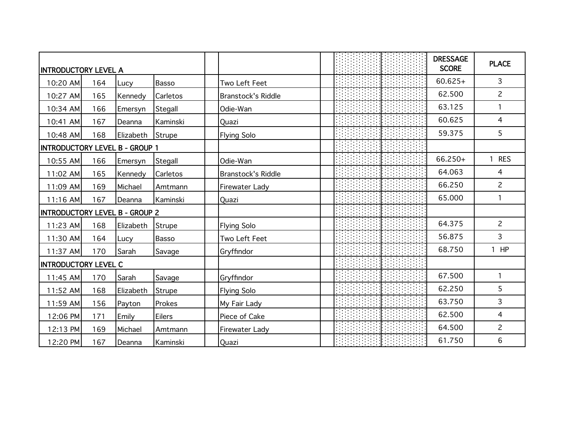| <b>INTRODUCTORY LEVEL A</b>           |     |           |               |                           |  | <b>DRESSAGE</b><br><b>SCORE</b> | <b>PLACE</b>               |
|---------------------------------------|-----|-----------|---------------|---------------------------|--|---------------------------------|----------------------------|
| 10:20 AM                              | 164 | Lucy      | Basso         | Two Left Feet             |  | $60.625+$                       | 3                          |
| 10:27 AM                              | 165 | Kennedy   | Carletos      | <b>Branstock's Riddle</b> |  | 62.500                          | $\overline{2}$             |
| 10:34 AM                              | 166 | Emersyn   | Stegall       | Odie-Wan                  |  | 63.125                          | 1                          |
| 10:41 AM                              | 167 | Deanna    | Kaminski      | Quazi                     |  | 60.625                          | $\overline{4}$             |
| 10:48 AM                              | 168 | Elizabeth | Strupe        | <b>Flying Solo</b>        |  | 59.375                          | 5                          |
| <b>INTRODUCTORY LEVEL B - GROUP 1</b> |     |           |               |                           |  |                                 |                            |
| 10:55 AM                              | 166 | Emersyn   | Stegall       | Odie-Wan                  |  | 66.250+                         | <b>RES</b><br>$\mathbf{1}$ |
| 11:02 AM                              | 165 | Kennedy   | Carletos      | <b>Branstock's Riddle</b> |  | 64.063                          | 4                          |
| 11:09 AM                              | 169 | Michael   | Amtmann       | Firewater Lady            |  | 66.250                          | $\overline{2}$             |
| 11:16 AM                              | 167 | Deanna    | Kaminski      | Quazi                     |  | 65.000                          | 1                          |
| <b>INTRODUCTORY LEVEL B - GROUP 2</b> |     |           |               |                           |  |                                 |                            |
| 11:23 AM                              | 168 | Elizabeth | <b>Strupe</b> | <b>Flying Solo</b>        |  | 64.375                          | $\overline{2}$             |
| 11:30 AM                              | 164 | Lucy      | Basso         | Two Left Feet             |  | 56.875                          | $\overline{3}$             |
| 11:37 AM                              | 170 | Sarah     | Savage        | Gryffindor                |  | 68.750                          | HP<br>$\overline{1}$       |
| INTRODUCTORY LEVEL C                  |     |           |               |                           |  |                                 |                            |
| 11:45 AM                              | 170 | Sarah     | Savage        | Gryffindor                |  | 67.500                          | $\mathbf{1}$               |
| 11:52 AM                              | 168 | Elizabeth | Strupe        | <b>Flying Solo</b>        |  | 62.250                          | 5                          |
| 11:59 AM                              | 156 | Payton    | Prokes        | My Fair Lady              |  | 63.750                          | $\overline{3}$             |
| 12:06 PM                              | 171 | Emily     | <b>Eilers</b> | Piece of Cake             |  | 62.500                          | $\overline{4}$             |
| 12:13 PM                              | 169 | Michael   | Amtmann       | Firewater Lady            |  | 64.500                          | $\overline{2}$             |
| 12:20 PM                              | 167 | Deanna    | Kaminski      | Quazi                     |  | 61.750                          | 6                          |